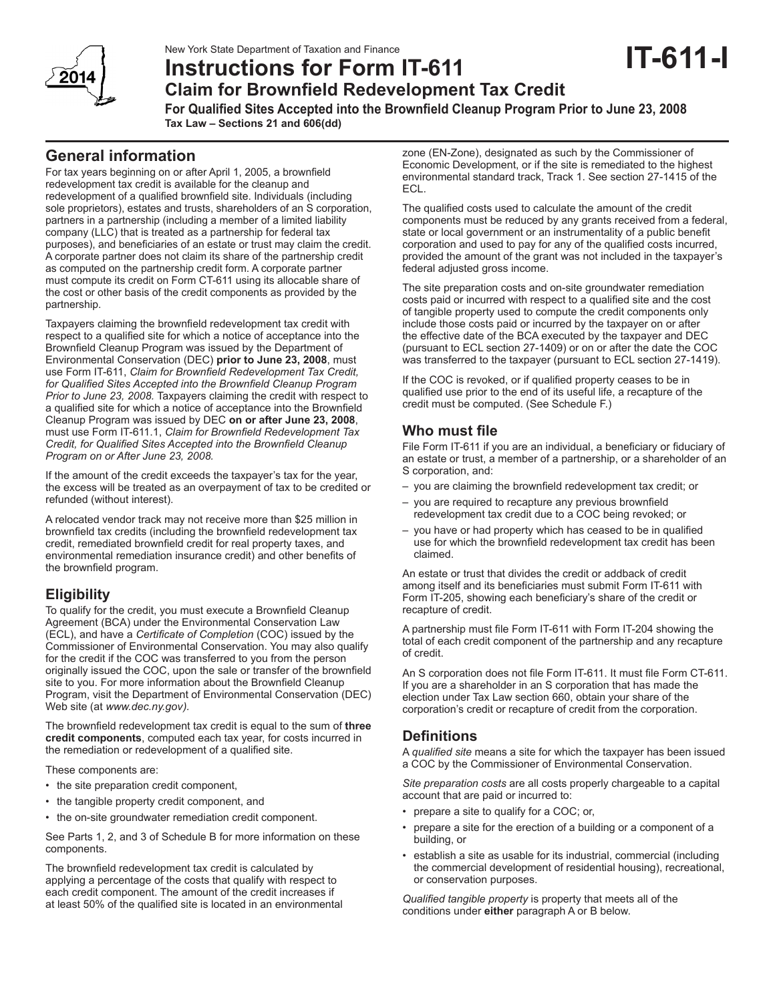New York State Department of Taxation and Finance

# **Instructions for Form IT-611**

**Claim for Brownfield Redevelopment Tax Credit**

**For Qualified Sites Accepted into the Brownfield Cleanup Program Prior to June 23, 2008 Tax Law – Sections 21 and 606(dd)** 

# **General information**

For tax years beginning on or after April 1, 2005, a brownfield redevelopment tax credit is available for the cleanup and redevelopment of a qualified brownfield site. Individuals (including sole proprietors), estates and trusts, shareholders of an S corporation, partners in a partnership (including a member of a limited liability company (LLC) that is treated as a partnership for federal tax purposes), and beneficiaries of an estate or trust may claim the credit. A corporate partner does not claim its share of the partnership credit as computed on the partnership credit form. A corporate partner must compute its credit on Form CT-611 using its allocable share of the cost or other basis of the credit components as provided by the partnership.

Taxpayers claiming the brownfield redevelopment tax credit with respect to a qualified site for which a notice of acceptance into the Brownfield Cleanup Program was issued by the Department of Environmental Conservation (DEC) **prior to June 23, 2008**, must use Form IT-611, *Claim for Brownfield Redevelopment Tax Credit, for Qualified Sites Accepted into the Brownfield Cleanup Program Prior to June 23, 2008.* Taxpayers claiming the credit with respect to a qualified site for which a notice of acceptance into the Brownfield Cleanup Program was issued by DEC **on or after June 23, 2008**, must use Form IT-611.1, *Claim for Brownfield Redevelopment Tax Credit, for Qualified Sites Accepted into the Brownfield Cleanup Program on or After June 23, 2008.*

If the amount of the credit exceeds the taxpayer's tax for the year, the excess will be treated as an overpayment of tax to be credited or refunded (without interest).

A relocated vendor track may not receive more than \$25 million in brownfield tax credits (including the brownfield redevelopment tax credit, remediated brownfield credit for real property taxes, and environmental remediation insurance credit) and other benefits of the brownfield program.

# **Eligibility**

To qualify for the credit, you must execute a Brownfield Cleanup Agreement (BCA) under the Environmental Conservation Law (ECL), and have a *Certificate of Completion* (COC) issued by the Commissioner of Environmental Conservation. You may also qualify for the credit if the COC was transferred to you from the person originally issued the COC, upon the sale or transfer of the brownfield site to you. For more information about the Brownfield Cleanup Program, visit the Department of Environmental Conservation (DEC) Web site (at *www.dec.ny.gov).*

The brownfield redevelopment tax credit is equal to the sum of **three credit components**, computed each tax year, for costs incurred in the remediation or redevelopment of a qualified site.

These components are:

- the site preparation credit component,
- the tangible property credit component, and
- the on-site groundwater remediation credit component.

See Parts 1, 2, and 3 of Schedule B for more information on these components.

The brownfield redevelopment tax credit is calculated by applying a percentage of the costs that qualify with respect to each credit component. The amount of the credit increases if at least 50% of the qualified site is located in an environmental

zone (EN-Zone), designated as such by the Commissioner of Economic Development, or if the site is remediated to the highest environmental standard track, Track 1. See section 27-1415 of the ECL.

**IT-611-I**

The qualified costs used to calculate the amount of the credit components must be reduced by any grants received from a federal, state or local government or an instrumentality of a public benefit corporation and used to pay for any of the qualified costs incurred, provided the amount of the grant was not included in the taxpayer's federal adjusted gross income.

The site preparation costs and on-site groundwater remediation costs paid or incurred with respect to a qualified site and the cost of tangible property used to compute the credit components only include those costs paid or incurred by the taxpayer on or after the effective date of the BCA executed by the taxpayer and DEC (pursuant to ECL section 27-1409) or on or after the date the COC was transferred to the taxpayer (pursuant to ECL section 27-1419).

If the COC is revoked, or if qualified property ceases to be in qualified use prior to the end of its useful life, a recapture of the credit must be computed. (See Schedule F.)

# **Who must file**

File Form IT-611 if you are an individual, a beneficiary or fiduciary of an estate or trust, a member of a partnership, or a shareholder of an S corporation, and:

- you are claiming the brownfield redevelopment tax credit; or
- you are required to recapture any previous brownfield redevelopment tax credit due to a COC being revoked; or
- you have or had property which has ceased to be in qualified use for which the brownfield redevelopment tax credit has been claimed.

An estate or trust that divides the credit or addback of credit among itself and its beneficiaries must submit Form IT-611 with Form IT-205, showing each beneficiary's share of the credit or recapture of credit.

A partnership must file Form IT-611 with Form IT-204 showing the total of each credit component of the partnership and any recapture of credit.

An S corporation does not file Form IT-611. It must file Form CT-611. If you are a shareholder in an S corporation that has made the election under Tax Law section 660, obtain your share of the corporation's credit or recapture of credit from the corporation.

# **Definitions**

A *qualified site* means a site for which the taxpayer has been issued a COC by the Commissioner of Environmental Conservation.

*Site preparation costs* are all costs properly chargeable to a capital account that are paid or incurred to:

- prepare a site to qualify for a COC; or,
- prepare a site for the erection of a building or a component of a building, or
- establish a site as usable for its industrial, commercial (including the commercial development of residential housing), recreational, or conservation purposes.

*Qualified tangible property* is property that meets all of the conditions under **either** paragraph A or B below.

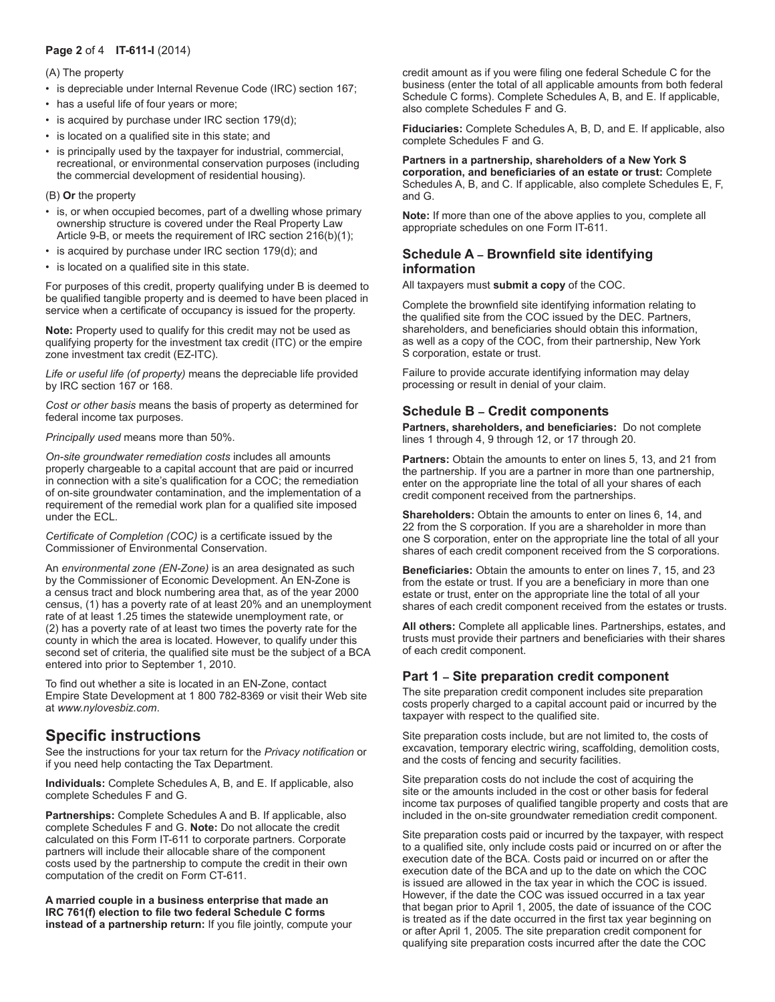## **Page 2** of 4 **IT-611-I** (2014)

(A) The property

- is depreciable under Internal Revenue Code (IRC) section 167;
- has a useful life of four years or more;
- is acquired by purchase under IRC section 179(d);
- is located on a qualified site in this state; and
- is principally used by the taxpayer for industrial, commercial, recreational, or environmental conservation purposes (including the commercial development of residential housing).

#### (B) **Or** the property

- is, or when occupied becomes, part of a dwelling whose primary ownership structure is covered under the Real Property Law Article 9-B, or meets the requirement of IRC section 216(b)(1);
- is acquired by purchase under IRC section 179(d); and
- is located on a qualified site in this state.

For purposes of this credit, property qualifying under B is deemed to be qualified tangible property and is deemed to have been placed in service when a certificate of occupancy is issued for the property.

**Note:** Property used to qualify for this credit may not be used as qualifying property for the investment tax credit (ITC) or the empire zone investment tax credit (EZ-ITC).

*Life or useful life (of property)* means the depreciable life provided by IRC section 167 or 168.

*Cost or other basis* means the basis of property as determined for federal income tax purposes.

*Principally used* means more than 50%.

*On-site groundwater remediation costs* includes all amounts properly chargeable to a capital account that are paid or incurred in connection with a site's qualification for a COC; the remediation of on-site groundwater contamination, and the implementation of a requirement of the remedial work plan for a qualified site imposed under the ECL.

*Certificate of Completion (COC)* is a certificate issued by the Commissioner of Environmental Conservation.

An *environmental zone (EN-Zone)* is an area designated as such by the Commissioner of Economic Development. An EN-Zone is a census tract and block numbering area that, as of the year 2000 census, (1) has a poverty rate of at least 20% and an unemployment rate of at least 1.25 times the statewide unemployment rate, or (2) has a poverty rate of at least two times the poverty rate for the county in which the area is located. However, to qualify under this second set of criteria, the qualified site must be the subject of a BCA entered into prior to September 1, 2010.

To find out whether a site is located in an EN-Zone, contact Empire State Development at 1 800 782-8369 or visit their Web site at *www.nylovesbiz.com*.

# **Specific instructions**

See the instructions for your tax return for the *Privacy notification* or if you need help contacting the Tax Department.

**Individuals:** Complete Schedules A, B, and E. If applicable, also complete Schedules F and G.

**Partnerships:** Complete Schedules A and B. If applicable, also complete Schedules F and G. **Note:** Do not allocate the credit calculated on this Form IT-611 to corporate partners. Corporate partners will include their allocable share of the component costs used by the partnership to compute the credit in their own computation of the credit on Form CT-611.

**A married couple in a business enterprise that made an IRC 761(f) election to file two federal Schedule C forms instead of a partnership return:** If you file jointly, compute your

credit amount as if you were filing one federal Schedule C for the business (enter the total of all applicable amounts from both federal Schedule C forms). Complete Schedules A, B, and E. If applicable, also complete Schedules F and G.

**Fiduciaries:** Complete Schedules A, B, D, and E. If applicable, also complete Schedules F and G.

#### **Partners in a partnership, shareholders of a New York S corporation, and beneficiaries of an estate or trust:** Complete

Schedules A, B, and C. If applicable, also complete Schedules E, F, and G.

**Note:** If more than one of the above applies to you, complete all appropriate schedules on one Form IT-611.

## **Schedule A – Brownfield site identifying information**

All taxpayers must **submit a copy** of the COC.

Complete the brownfield site identifying information relating to the qualified site from the COC issued by the DEC. Partners, shareholders, and beneficiaries should obtain this information, as well as a copy of the COC, from their partnership, New York S corporation, estate or trust.

Failure to provide accurate identifying information may delay processing or result in denial of your claim.

# **Schedule B – Credit components**

**Partners, shareholders, and beneficiaries:** Do not complete lines 1 through 4, 9 through 12, or 17 through 20.

**Partners:** Obtain the amounts to enter on lines 5, 13, and 21 from the partnership. If you are a partner in more than one partnership, enter on the appropriate line the total of all your shares of each credit component received from the partnerships.

**Shareholders:** Obtain the amounts to enter on lines 6, 14, and 22 from the S corporation. If you are a shareholder in more than one S corporation, enter on the appropriate line the total of all your shares of each credit component received from the S corporations.

**Beneficiaries:** Obtain the amounts to enter on lines 7, 15, and 23 from the estate or trust. If you are a beneficiary in more than one estate or trust, enter on the appropriate line the total of all your shares of each credit component received from the estates or trusts.

**All others:** Complete all applicable lines. Partnerships, estates, and trusts must provide their partners and beneficiaries with their shares of each credit component.

# **Part 1 – Site preparation credit component**

The site preparation credit component includes site preparation costs properly charged to a capital account paid or incurred by the taxpayer with respect to the qualified site.

Site preparation costs include, but are not limited to, the costs of excavation, temporary electric wiring, scaffolding, demolition costs, and the costs of fencing and security facilities.

Site preparation costs do not include the cost of acquiring the site or the amounts included in the cost or other basis for federal income tax purposes of qualified tangible property and costs that are included in the on-site groundwater remediation credit component.

Site preparation costs paid or incurred by the taxpayer, with respect to a qualified site, only include costs paid or incurred on or after the execution date of the BCA. Costs paid or incurred on or after the execution date of the BCA and up to the date on which the COC is issued are allowed in the tax year in which the COC is issued. However, if the date the COC was issued occurred in a tax year that began prior to April 1, 2005, the date of issuance of the COC is treated as if the date occurred in the first tax year beginning on or after April 1, 2005. The site preparation credit component for qualifying site preparation costs incurred after the date the COC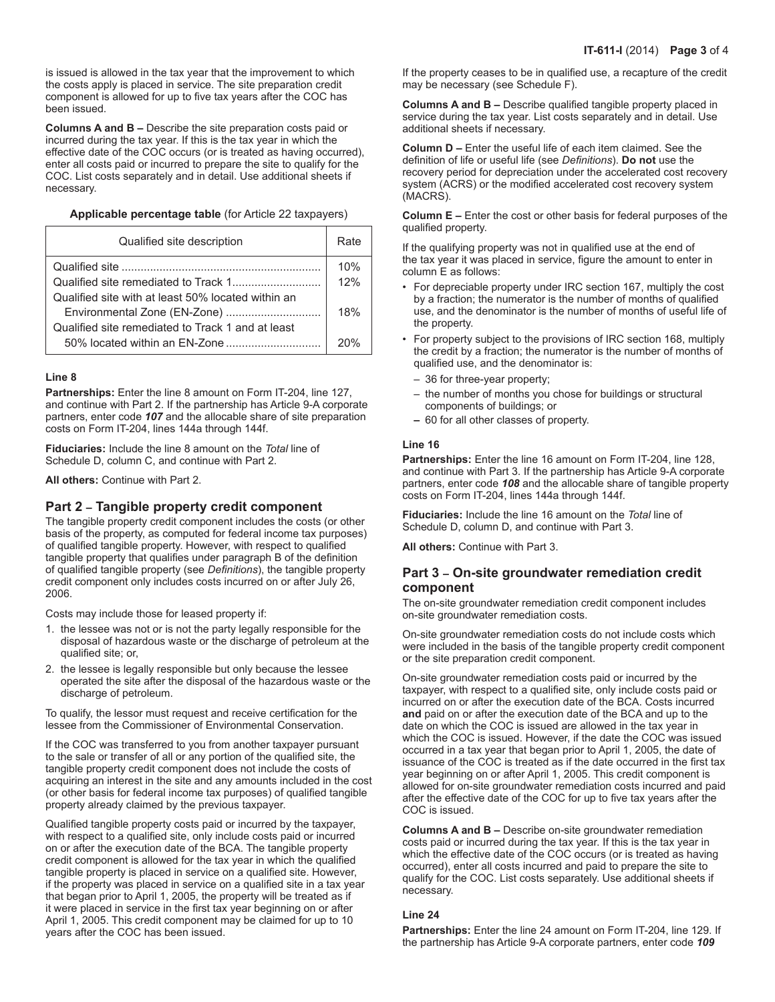is issued is allowed in the tax year that the improvement to which the costs apply is placed in service. The site preparation credit component is allowed for up to five tax years after the COC has been issued.

**Columns A and B –** Describe the site preparation costs paid or incurred during the tax year. If this is the tax year in which the effective date of the COC occurs (or is treated as having occurred), enter all costs paid or incurred to prepare the site to qualify for the COC. List costs separately and in detail. Use additional sheets if necessary.

#### **Applicable percentage table** (for Article 22 taxpayers)

| Qualified site description                         | Rate |
|----------------------------------------------------|------|
|                                                    | 10%  |
|                                                    | 12%  |
| Qualified site with at least 50% located within an |      |
|                                                    | 18%  |
| Qualified site remediated to Track 1 and at least  |      |
|                                                    | 20%  |

#### **Line 8**

**Partnerships:** Enter the line 8 amount on Form IT-204, line 127, and continue with Part 2. If the partnership has Article 9-A corporate partners, enter code *107* and the allocable share of site preparation costs on Form IT-204, lines 144a through 144f.

**Fiduciaries:** Include the line 8 amount on the *Total* line of Schedule D, column C, and continue with Part 2.

**All others:** Continue with Part 2.

## **Part 2 – Tangible property credit component**

The tangible property credit component includes the costs (or other basis of the property, as computed for federal income tax purposes) of qualified tangible property. However, with respect to qualified tangible property that qualifies under paragraph B of the definition of qualified tangible property (see *Definitions*), the tangible property credit component only includes costs incurred on or after July 26, 2006.

Costs may include those for leased property if:

- 1. the lessee was not or is not the party legally responsible for the disposal of hazardous waste or the discharge of petroleum at the qualified site; or,
- 2. the lessee is legally responsible but only because the lessee operated the site after the disposal of the hazardous waste or the discharge of petroleum.

To qualify, the lessor must request and receive certification for the lessee from the Commissioner of Environmental Conservation.

If the COC was transferred to you from another taxpayer pursuant to the sale or transfer of all or any portion of the qualified site, the tangible property credit component does not include the costs of acquiring an interest in the site and any amounts included in the cost (or other basis for federal income tax purposes) of qualified tangible property already claimed by the previous taxpayer.

Qualified tangible property costs paid or incurred by the taxpayer, with respect to a qualified site, only include costs paid or incurred on or after the execution date of the BCA. The tangible property credit component is allowed for the tax year in which the qualified tangible property is placed in service on a qualified site. However, if the property was placed in service on a qualified site in a tax year that began prior to April 1, 2005, the property will be treated as if it were placed in service in the first tax year beginning on or after April 1, 2005. This credit component may be claimed for up to 10 years after the COC has been issued.

If the property ceases to be in qualified use, a recapture of the credit may be necessary (see Schedule F).

**Columns A and B –** Describe qualified tangible property placed in service during the tax year. List costs separately and in detail. Use additional sheets if necessary.

**Column D –** Enter the useful life of each item claimed. See the definition of life or useful life (see *Definitions*). **Do not** use the recovery period for depreciation under the accelerated cost recovery system (ACRS) or the modified accelerated cost recovery system (MACRS).

**Column E –** Enter the cost or other basis for federal purposes of the qualified property.

If the qualifying property was not in qualified use at the end of the tax year it was placed in service, figure the amount to enter in column E as follows:

- For depreciable property under IRC section 167, multiply the cost by a fraction; the numerator is the number of months of qualified use, and the denominator is the number of months of useful life of the property.
- For property subject to the provisions of IRC section 168, multiply the credit by a fraction; the numerator is the number of months of qualified use, and the denominator is:
	- 36 for three-year property;
	- the number of months you chose for buildings or structural components of buildings; or
	- 60 for all other classes of property.

#### **Line 16**

**Partnerships:** Enter the line 16 amount on Form IT-204, line 128, and continue with Part 3. If the partnership has Article 9-A corporate partners, enter code *108* and the allocable share of tangible property costs on Form IT-204, lines 144a through 144f.

**Fiduciaries:** Include the line 16 amount on the *Total* line of Schedule D, column D, and continue with Part 3.

**All others:** Continue with Part 3.

#### **Part 3 – On-site groundwater remediation credit component**

The on-site groundwater remediation credit component includes on-site groundwater remediation costs.

On-site groundwater remediation costs do not include costs which were included in the basis of the tangible property credit component or the site preparation credit component.

On-site groundwater remediation costs paid or incurred by the taxpayer, with respect to a qualified site, only include costs paid or incurred on or after the execution date of the BCA. Costs incurred **and** paid on or after the execution date of the BCA and up to the date on which the COC is issued are allowed in the tax year in which the COC is issued. However, if the date the COC was issued occurred in a tax year that began prior to April 1, 2005, the date of issuance of the COC is treated as if the date occurred in the first tax year beginning on or after April 1, 2005. This credit component is allowed for on-site groundwater remediation costs incurred and paid after the effective date of the COC for up to five tax years after the COC is issued.

**Columns A and B –** Describe on-site groundwater remediation costs paid or incurred during the tax year. If this is the tax year in which the effective date of the COC occurs (or is treated as having occurred), enter all costs incurred and paid to prepare the site to qualify for the COC. List costs separately. Use additional sheets if necessary.

#### **Line 24**

**Partnerships:** Enter the line 24 amount on Form IT-204, line 129. If the partnership has Article 9-A corporate partners, enter code *109*